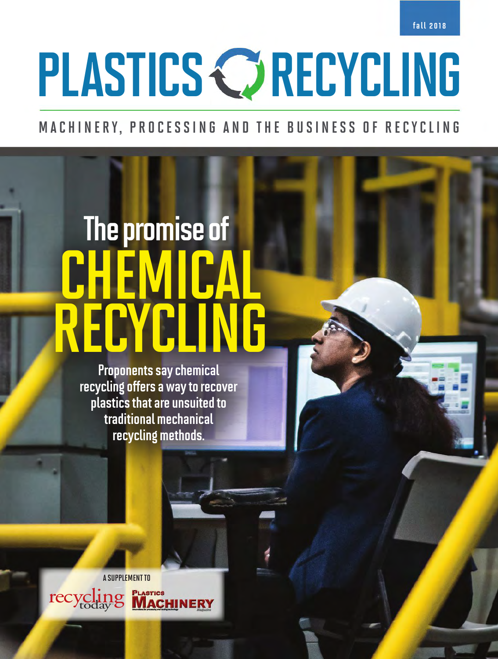fall 2018

# PLASTICS C RECYCLING

### MACHINERY, PROCESSING AND THE BUSINESS OF RECYCLING

## CHEMICAL RECYCLING The promise of

Proponents say chemical recycling offers a way to recover plastics that are unsuited to traditional mechanical recycling methods.

A SUPPLEMENT TO PLASTICS<br>MACHINERY recycling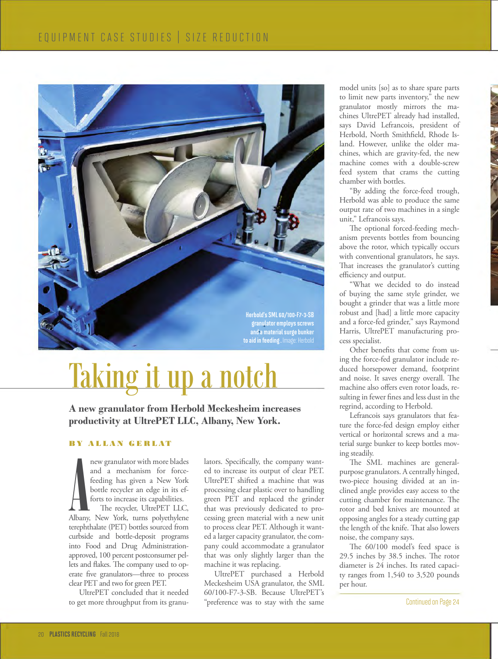

## Taking it up a notch

**A new granulator from Herbold Meckesheim increases productivity at UltrePET LLC, Albany, New York.** 

#### BY ALLAN GERLAT

new granulator with more blades<br>and a mechanism for force-<br>feeding has given a New York<br>bottle recycler an edge in its ef-<br>forts to increase its capabilities.<br>The recycler, UltrePET LLC,<br>Albany, New York, turns polyethylen new granulator with more blades and a mechanism for forcefeeding has given a New York bottle recycler an edge in its efforts to increase its capabilities.

The recycler, UltrePET LLC, terephthalate (PET) bottles sourced from curbside and bottle-deposit programs into Food and Drug Administrationapproved, 100 percent postconsumer pellets and flakes. The company used to operate five granulators—three to process clear PET and two for green PET.

UltrePET concluded that it needed to get more throughput from its granulators. Specifically, the company wanted to increase its output of clear PET. UltrePET shifted a machine that was processing clear plastic over to handling green PET and replaced the grinder that was previously dedicated to processing green material with a new unit to process clear PET. Although it wanted a larger capacity granulator, the company could accommodate a granulator that was only slightly larger than the machine it was replacing.

UltrePET purchased a Herbold Meckesheim USA granulator, the SML 60/100-F7-3-SB. Because UltrePET's "preference was to stay with the same

model units [so] as to share spare parts to limit new parts inventory," the new granulator mostly mirrors the machines UltrePET already had installed, says David Lefrancois, president of Herbold, North Smithfield, Rhode Island. However, unlike the older machines, which are gravity-fed, the new machine comes with a double-screw feed system that crams the cutting chamber with bottles.

"By adding the force-feed trough, Herbold was able to produce the same output rate of two machines in a single unit," Lefrancois says.

The optional forced-feeding mechanism prevents bottles from bouncing above the rotor, which typically occurs with conventional granulators, he says. That increases the granulator's cutting efficiency and output.

"What we decided to do instead of buying the same style grinder, we bought a grinder that was a little more robust and [had] a little more capacity and a force-fed grinder," says Raymond Harris, UltrePET manufacturing process specialist.

Other benefits that come from using the force-fed granulator include reduced horsepower demand, footprint and noise. It saves energy overall. The machine also offers even rotor loads, resulting in fewer fines and less dust in the regrind, according to Herbold.

Lefrancois says granulators that feature the force-fed design employ either vertical or horizontal screws and a material surge bunker to keep bottles moving steadily.

The SML machines are generalpurpose granulators. A centrally hinged, two-piece housing divided at an inclined angle provides easy access to the cutting chamber for maintenance. The rotor and bed knives are mounted at opposing angles for a steady cutting gap the length of the knife. That also lowers noise, the company says.

The 60/100 model's feed space is 29.5 inches by 38.5 inches. The rotor diameter is 24 inches. Its rated capacity ranges from 1,540 to 3,520 pounds per hour.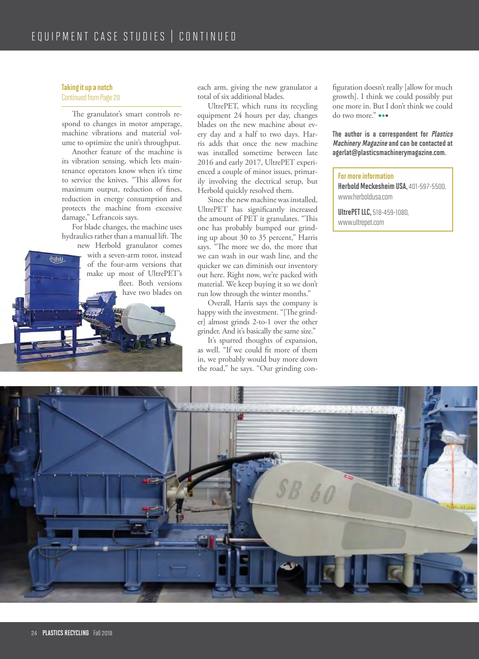#### Taking it up a notch

testold

#### Continued from Page 20

The granulator's smart controls respond to changes in motor amperage, machine vibrations and material volume to optimize the unit's throughput.

Another feature of the machine is its vibration sensing, which lets maintenance operators know when it's time to service the knives. "This allows for maximum output, reduction of fines, reduction in energy consumption and protects the machine from excessive damage," Lefrancois says.

For blade changes, the machine uses hydraulics rather than a manual lift. The

new Herbold granulator comes with a seven-arm rotor, instead of the four-arm versions that make up most of UltrePET's fleet. Both versions have two blades on each arm, giving the new granulator a total of six additional blades.

UltrePET, which runs its recycling equipment 24 hours per day, changes blades on the new machine about every day and a half to two days. Harris adds that once the new machine was installed sometime between late 2016 and early 2017, UltrePET experienced a couple of minor issues, primarily involving the electrical setup, but Herbold quickly resolved them.

Since the new machine was installed, UltrePET has significantly increased the amount of PET it granulates. "This one has probably bumped our grinding up about 30 to 35 percent," Harris says. "The more we do, the more that we can wash in our wash line, and the quicker we can diminish our inventory out here. Right now, we're packed with material. We keep buying it so we don't run low through the winter months."

Overall, Harris says the company is happy with the investment. "[The grinder] almost grinds 2-to-1 over the other grinder. And it's basically the same size."

It's spurred thoughts of expansion, as well. "If we could fit more of them in, we probably would buy more down the road," he says. "Our grinding configuration doesn't really [allow for much growth]. I think we could possibly put one more in. But I don't think we could do two more." •••

#### The author is a correspondent for Plastics Machinery Magazine and can be contacted at agerlat@plasticsmachinerymagazine.com.

#### For more information

Herbold Meckesheim USA, 401-597-5500, www.herboldusa.com

UltrePET LLC, 518-459-1080, www.ultrepet.com